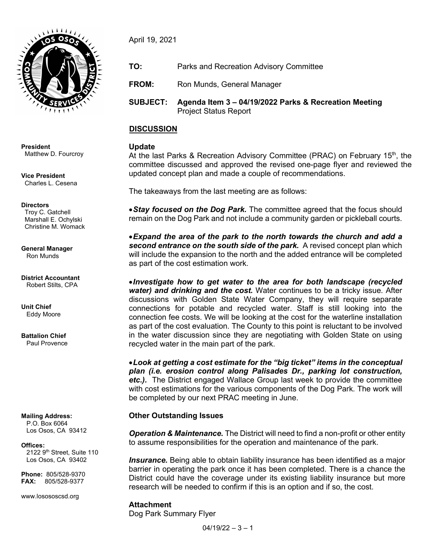

**President** Matthew D. Fourcroy

**Vice President** Charles L. Cesena

#### **Directors**

 Troy C. Gatchell Marshall E. Ochylski Christine M. Womack

**General Manager** Ron Munds

**District Accountant** Robert Stilts, CPA

**Unit Chief** Eddy Moore

**Battalion Chief** Paul Provence

**Mailing Address:** P.O. Box 6064 Los Osos, CA 93412

**Offices:** 2122 9<sup>th</sup> Street, Suite 110 Los Osos, CA 93402

**Phone:** 805/528-9370 **FAX:** 805/528-9377

www.losososcsd.org

April 19, 2021

- **TO:** Parks and Recreation Advisory Committee
- **FROM:** Ron Munds, General Manager
- **SUBJECT: Agenda Item 3 – 04/19/2022 Parks & Recreation Meeting** Project Status Report

#### **DISCUSSION**

#### **Update**

At the last Parks & Recreation Advisory Committee (PRAC) on February 15<sup>th</sup>, the committee discussed and approved the revised one-page flyer and reviewed the updated concept plan and made a couple of recommendations.

The takeaways from the last meeting are as follows:

•*Stay focused on the Dog Park.* The committee agreed that the focus should remain on the Dog Park and not include a community garden or pickleball courts.

•*Expand the area of the park to the north towards the church and add a*  **second entrance on the south side of the park.** A revised concept plan which will include the expansion to the north and the added entrance will be completed as part of the cost estimation work.

•*Investigate how to get water to the area for both landscape (recycled water) and drinking and the cost.* Water continues to be a tricky issue. After discussions with Golden State Water Company, they will require separate connections for potable and recycled water. Staff is still looking into the connection fee costs. We will be looking at the cost for the waterline installation as part of the cost evaluation. The County to this point is reluctant to be involved in the water discussion since they are negotiating with Golden State on using recycled water in the main part of the park.

•*Look at getting a cost estimate for the "big ticket" items in the conceptual plan (i.e. erosion control along Palisades Dr., parking lot construction, etc.).*The District engaged Wallace Group last week to provide the committee with cost estimations for the various components of the Dog Park. The work will be completed by our next PRAC meeting in June.

#### **Other Outstanding Issues**

*Operation & Maintenance.* The District will need to find a non-profit or other entity to assume responsibilities for the operation and maintenance of the park.

*Insurance.* Being able to obtain liability insurance has been identified as a major barrier in operating the park once it has been completed. There is a chance the District could have the coverage under its existing liability insurance but more research will be needed to confirm if this is an option and if so, the cost.

#### **Attachment** Dog Park Summary Flyer